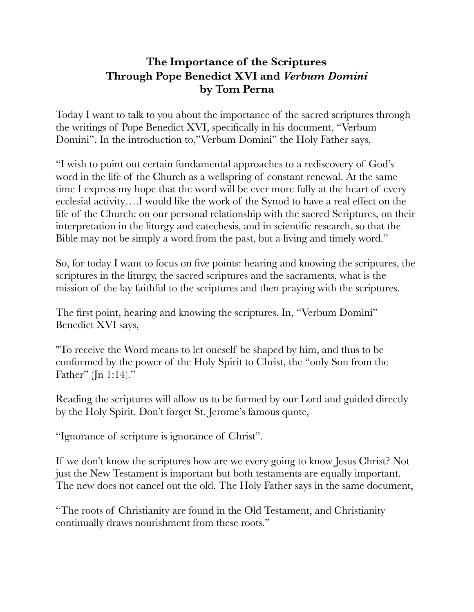## **The Importance of the Scriptures Through Pope Benedict XVI and** *Verbum Domini*  **by Tom Perna**

Today I want to talk to you about the importance of the sacred scriptures through the writings of Pope Benedict XVI, specifically in his document, "Verbum Domini". In the introduction to,"Verbum Domini" the Holy Father says,

"I wish to point out certain fundamental approaches to a rediscovery of God's word in the life of the Church as a wellspring of constant renewal. At the same time I express my hope that the word will be ever more fully at the heart of every ecclesial activity….I would like the work of the Synod to have a real effect on the life of the Church: on our personal relationship with the sacred Scriptures, on their interpretation in the liturgy and catechesis, and in scientific research, so that the Bible may not be simply a word from the past, but a living and timely word."

So, for today I want to focus on five points: hearing and knowing the scriptures, the scriptures in the liturgy, the sacred scriptures and the sacraments, what is the mission of the lay faithful to the scriptures and then praying with the scriptures.

The first point, hearing and knowing the scriptures. In, "Verbum Domini" Benedict XVI says,

"To receive the Word means to let oneself be shaped by him, and thus to be conformed by the power of the Holy Spirit to Christ, the "only Son from the Father" (Jn 1:14)."

Reading the scriptures will allow us to be formed by our Lord and guided directly by the Holy Spirit. Don't forget St. Jerome's famous quote,

"Ignorance of scripture is ignorance of Christ".

If we don't know the scriptures how are we every going to know Jesus Christ? Not just the New Testament is important but both testaments are equally important. The new does not cancel out the old. The Holy Father says in the same document,

"The roots of Christianity are found in the Old Testament, and Christianity continually draws nourishment from these roots."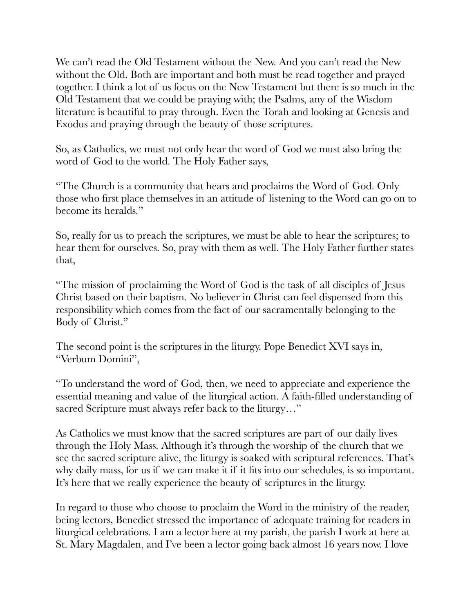We can't read the Old Testament without the New. And you can't read the New without the Old. Both are important and both must be read together and prayed together. I think a lot of us focus on the New Testament but there is so much in the Old Testament that we could be praying with; the Psalms, any of the Wisdom literature is beautiful to pray through. Even the Torah and looking at Genesis and Exodus and praying through the beauty of those scriptures.

So, as Catholics, we must not only hear the word of God we must also bring the word of God to the world. The Holy Father says,

"The Church is a community that hears and proclaims the Word of God. Only those who first place themselves in an attitude of listening to the Word can go on to become its heralds."

So, really for us to preach the scriptures, we must be able to hear the scriptures; to hear them for ourselves. So, pray with them as well. The Holy Father further states that,

"The mission of proclaiming the Word of God is the task of all disciples of Jesus Christ based on their baptism. No believer in Christ can feel dispensed from this responsibility which comes from the fact of our sacramentally belonging to the Body of Christ."

The second point is the scriptures in the liturgy. Pope Benedict XVI says in, "Verbum Domini",

"To understand the word of God, then, we need to appreciate and experience the essential meaning and value of the liturgical action. A faith-filled understanding of sacred Scripture must always refer back to the liturgy…"

As Catholics we must know that the sacred scriptures are part of our daily lives through the Holy Mass. Although it's through the worship of the church that we see the sacred scripture alive, the liturgy is soaked with scriptural references. That's why daily mass, for us if we can make it if it fits into our schedules, is so important. It's here that we really experience the beauty of scriptures in the liturgy.

In regard to those who choose to proclaim the Word in the ministry of the reader, being lectors, Benedict stressed the importance of adequate training for readers in liturgical celebrations. I am a lector here at my parish, the parish I work at here at St. Mary Magdalen, and I've been a lector going back almost 16 years now. I love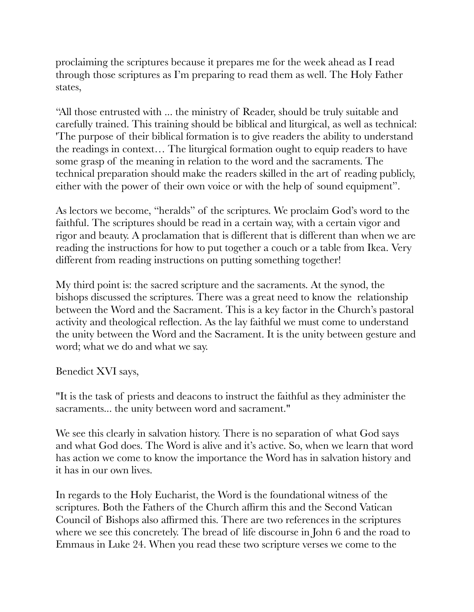proclaiming the scriptures because it prepares me for the week ahead as I read through those scriptures as I'm preparing to read them as well. The Holy Father states,

"All those entrusted with ... the ministry of Reader, should be truly suitable and carefully trained. This training should be biblical and liturgical, as well as technical: 'The purpose of their biblical formation is to give readers the ability to understand the readings in context… The liturgical formation ought to equip readers to have some grasp of the meaning in relation to the word and the sacraments. The technical preparation should make the readers skilled in the art of reading publicly, either with the power of their own voice or with the help of sound equipment".

As lectors we become, "heralds" of the scriptures. We proclaim God's word to the faithful. The scriptures should be read in a certain way, with a certain vigor and rigor and beauty. A proclamation that is different that is different than when we are reading the instructions for how to put together a couch or a table from Ikea. Very different from reading instructions on putting something together!

My third point is: the sacred scripture and the sacraments. At the synod, the bishops discussed the scriptures. There was a great need to know the relationship between the Word and the Sacrament. This is a key factor in the Church's pastoral activity and theological reflection. As the lay faithful we must come to understand the unity between the Word and the Sacrament. It is the unity between gesture and word; what we do and what we say.

Benedict XVI says,

"It is the task of priests and deacons to instruct the faithful as they administer the sacraments... the unity between word and sacrament."

We see this clearly in salvation history. There is no separation of what God says and what God does. The Word is alive and it's active. So, when we learn that word has action we come to know the importance the Word has in salvation history and it has in our own lives.

In regards to the Holy Eucharist, the Word is the foundational witness of the scriptures. Both the Fathers of the Church affirm this and the Second Vatican Council of Bishops also affirmed this. There are two references in the scriptures where we see this concretely. The bread of life discourse in John 6 and the road to Emmaus in Luke 24. When you read these two scripture verses we come to the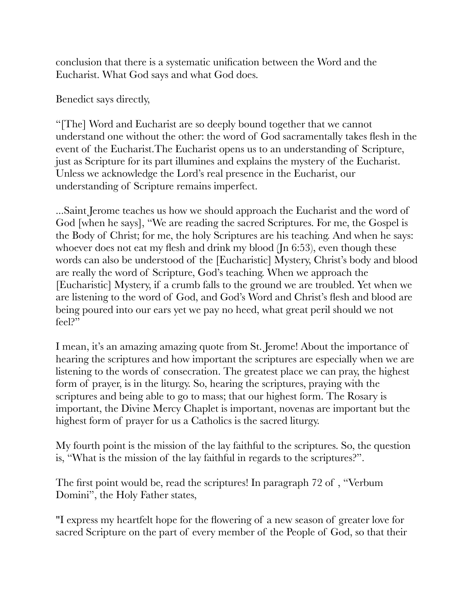conclusion that there is a systematic unification between the Word and the Eucharist. What God says and what God does.

Benedict says directly,

"[The] Word and Eucharist are so deeply bound together that we cannot understand one without the other: the word of God sacramentally takes flesh in the event of the Eucharist.The Eucharist opens us to an understanding of Scripture, just as Scripture for its part illumines and explains the mystery of the Eucharist. Unless we acknowledge the Lord's real presence in the Eucharist, our understanding of Scripture remains imperfect.

...Saint Jerome teaches us how we should approach the Eucharist and the word of God [when he says], "We are reading the sacred Scriptures. For me, the Gospel is the Body of Christ; for me, the holy Scriptures are his teaching. And when he says: whoever does not eat my flesh and drink my blood (Jn 6:53), even though these words can also be understood of the [Eucharistic] Mystery, Christ's body and blood are really the word of Scripture, God's teaching. When we approach the [Eucharistic] Mystery, if a crumb falls to the ground we are troubled. Yet when we are listening to the word of God, and God's Word and Christ's flesh and blood are being poured into our ears yet we pay no heed, what great peril should we not feel?"

I mean, it's an amazing amazing quote from St. Jerome! About the importance of hearing the scriptures and how important the scriptures are especially when we are listening to the words of consecration. The greatest place we can pray, the highest form of prayer, is in the liturgy. So, hearing the scriptures, praying with the scriptures and being able to go to mass; that our highest form. The Rosary is important, the Divine Mercy Chaplet is important, novenas are important but the highest form of prayer for us a Catholics is the sacred liturgy.

My fourth point is the mission of the lay faithful to the scriptures. So, the question is, "What is the mission of the lay faithful in regards to the scriptures?".

The first point would be, read the scriptures! In paragraph 72 of , "Verbum Domini", the Holy Father states,

"I express my heartfelt hope for the flowering of a new season of greater love for sacred Scripture on the part of every member of the People of God, so that their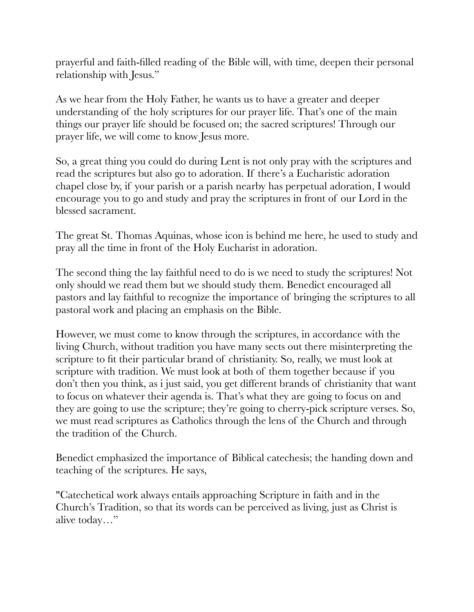prayerful and faith-filled reading of the Bible will, with time, deepen their personal relationship with Jesus."

As we hear from the Holy Father, he wants us to have a greater and deeper understanding of the holy scriptures for our prayer life. That's one of the main things our prayer life should be focused on; the sacred scriptures! Through our prayer life, we will come to know Jesus more.

So, a great thing you could do during Lent is not only pray with the scriptures and read the scriptures but also go to adoration. If there's a Eucharistic adoration chapel close by, if your parish or a parish nearby has perpetual adoration, I would encourage you to go and study and pray the scriptures in front of our Lord in the blessed sacrament.

The great St. Thomas Aquinas, whose icon is behind me here, he used to study and pray all the time in front of the Holy Eucharist in adoration.

The second thing the lay faithful need to do is we need to study the scriptures! Not only should we read them but we should study them. Benedict encouraged all pastors and lay faithful to recognize the importance of bringing the scriptures to all pastoral work and placing an emphasis on the Bible.

However, we must come to know through the scriptures, in accordance with the living Church, without tradition you have many sects out there misinterpreting the scripture to fit their particular brand of christianity. So, really, we must look at scripture with tradition. We must look at both of them together because if you don't then you think, as i just said, you get different brands of christianity that want to focus on whatever their agenda is. That's what they are going to focus on and they are going to use the scripture; they're going to cherry-pick scripture verses. So, we must read scriptures as Catholics through the lens of the Church and through the tradition of the Church.

Benedict emphasized the importance of Biblical catechesis; the handing down and teaching of the scriptures. He says,

"Catechetical work always entails approaching Scripture in faith and in the Church's Tradition, so that its words can be perceived as living, just as Christ is alive today…"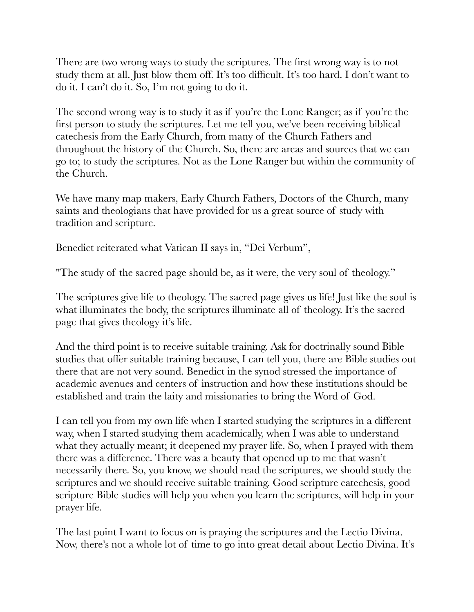There are two wrong ways to study the scriptures. The first wrong way is to not study them at all. Just blow them off. It's too difficult. It's too hard. I don't want to do it. I can't do it. So, I'm not going to do it.

The second wrong way is to study it as if you're the Lone Ranger; as if you're the first person to study the scriptures. Let me tell you, we've been receiving biblical catechesis from the Early Church, from many of the Church Fathers and throughout the history of the Church. So, there are areas and sources that we can go to; to study the scriptures. Not as the Lone Ranger but within the community of the Church.

We have many map makers, Early Church Fathers, Doctors of the Church, many saints and theologians that have provided for us a great source of study with tradition and scripture.

Benedict reiterated what Vatican II says in, "Dei Verbum",

"The study of the sacred page should be, as it were, the very soul of theology."

The scriptures give life to theology. The sacred page gives us life! Just like the soul is what illuminates the body, the scriptures illuminate all of theology. It's the sacred page that gives theology it's life.

And the third point is to receive suitable training. Ask for doctrinally sound Bible studies that offer suitable training because, I can tell you, there are Bible studies out there that are not very sound. Benedict in the synod stressed the importance of academic avenues and centers of instruction and how these institutions should be established and train the laity and missionaries to bring the Word of God.

I can tell you from my own life when I started studying the scriptures in a different way, when I started studying them academically, when I was able to understand what they actually meant; it deepened my prayer life. So, when I prayed with them there was a difference. There was a beauty that opened up to me that wasn't necessarily there. So, you know, we should read the scriptures, we should study the scriptures and we should receive suitable training. Good scripture catechesis, good scripture Bible studies will help you when you learn the scriptures, will help in your prayer life.

The last point I want to focus on is praying the scriptures and the Lectio Divina. Now, there's not a whole lot of time to go into great detail about Lectio Divina. It's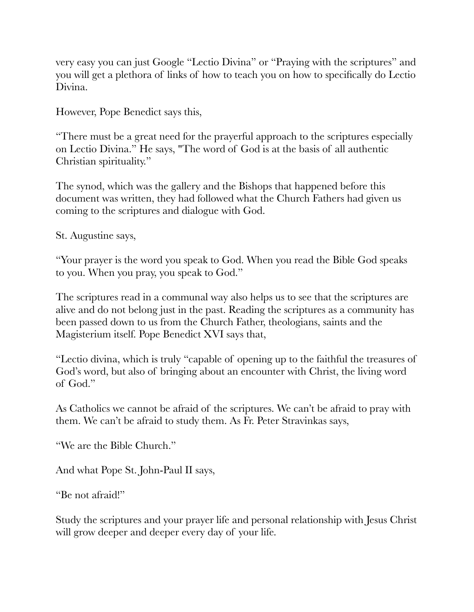very easy you can just Google "Lectio Divina" or "Praying with the scriptures" and you will get a plethora of links of how to teach you on how to specifically do Lectio Divina.

However, Pope Benedict says this,

"There must be a great need for the prayerful approach to the scriptures especially on Lectio Divina." He says, "The word of God is at the basis of all authentic Christian spirituality."

The synod, which was the gallery and the Bishops that happened before this document was written, they had followed what the Church Fathers had given us coming to the scriptures and dialogue with God.

St. Augustine says,

"Your prayer is the word you speak to God. When you read the Bible God speaks to you. When you pray, you speak to God."

The scriptures read in a communal way also helps us to see that the scriptures are alive and do not belong just in the past. Reading the scriptures as a community has been passed down to us from the Church Father, theologians, saints and the Magisterium itself. Pope Benedict XVI says that,

"Lectio divina, which is truly "capable of opening up to the faithful the treasures of God's word, but also of bringing about an encounter with Christ, the living word of God."

As Catholics we cannot be afraid of the scriptures. We can't be afraid to pray with them. We can't be afraid to study them. As Fr. Peter Stravinkas says,

"We are the Bible Church."

And what Pope St. John-Paul II says,

"Be not afraid!"

Study the scriptures and your prayer life and personal relationship with Jesus Christ will grow deeper and deeper every day of your life.